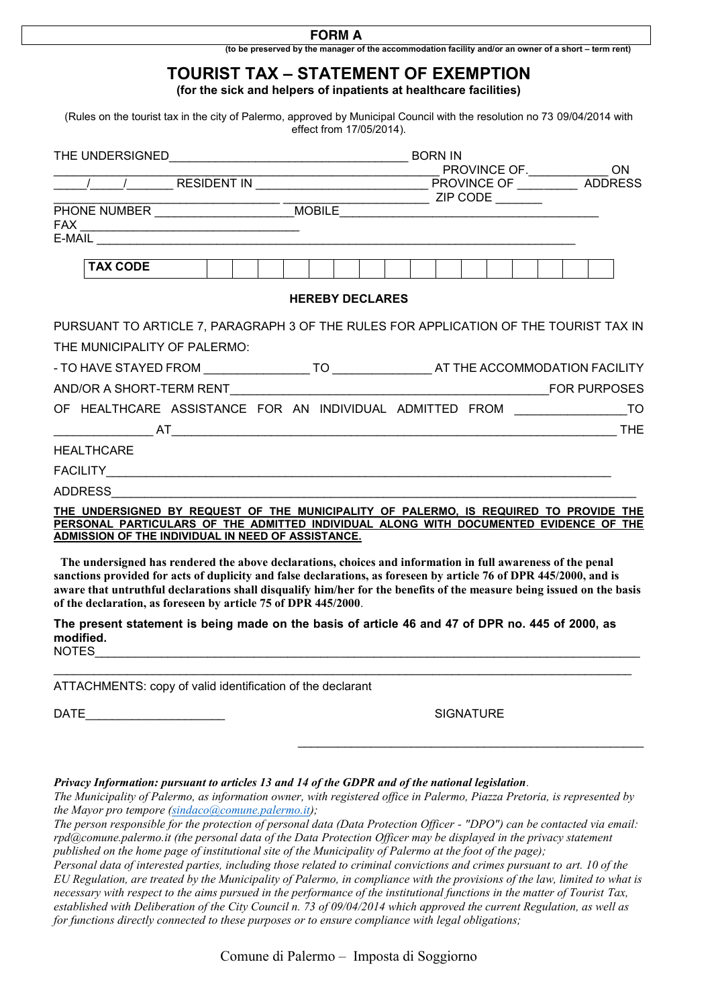## **FORM A**

**(to be preserved by the manager of the accommodation facility and/or an owner of a short – term rent)**

## **TOURIST TAX – STATEMENT OF EXEMPTION**

**(for the sick and helpers of inpatients at healthcare facilities)**

(Rules on the tourist tax in the city of Palermo, approved by Municipal Council with the resolution no 73 09/04/2014 with effect from 17/05/2014).

| PHONE NUMBER _____________________________MOBILE________________________________                                   |                                                                                                                       |
|--------------------------------------------------------------------------------------------------------------------|-----------------------------------------------------------------------------------------------------------------------|
|                                                                                                                    |                                                                                                                       |
|                                                                                                                    |                                                                                                                       |
| <b>TAX CODE</b>                                                                                                    |                                                                                                                       |
|                                                                                                                    | <b>HEREBY DECLARES</b>                                                                                                |
|                                                                                                                    | PURSUANT TO ARTICLE 7, PARAGRAPH 3 OF THE RULES FOR APPLICATION OF THE TOURIST TAX IN                                 |
| THE MUNICIPALITY OF PALERMO:                                                                                       |                                                                                                                       |
|                                                                                                                    |                                                                                                                       |
|                                                                                                                    |                                                                                                                       |
|                                                                                                                    | OF HEALTHCARE ASSISTANCE FOR AN INDIVIDUAL ADMITTED FROM ________________________                                     |
|                                                                                                                    |                                                                                                                       |
| <b>HEALTHCARE</b>                                                                                                  |                                                                                                                       |
|                                                                                                                    |                                                                                                                       |
|                                                                                                                    |                                                                                                                       |
|                                                                                                                    | THE UNDERSIGNED BY REQUEST OF THE MUNICIPALITY OF PALERMO, IS REQUIRED TO PROVIDE THE                                 |
| ADMISSION OF THE INDIVIDUAL IN NEED OF ASSISTANCE.                                                                 | PERSONAL PARTICULARS OF THE ADMITTED INDIVIDUAL ALONG WITH DOCUMENTED EVIDENCE OF THE                                 |
|                                                                                                                    |                                                                                                                       |
| The undersigned has rendered the above declarations, choices and information in full awareness of the penal        |                                                                                                                       |
| sanctions provided for acts of duplicity and false declarations, as foreseen by article 76 of DPR 445/2000, and is |                                                                                                                       |
|                                                                                                                    | aware that untruthful declarations shall disqualify him/her for the benefits of the measure being issued on the basis |
| of the declaration, as foreseen by article 75 of DPR 445/2000.                                                     |                                                                                                                       |

**The present statement is being made on the basis of article 46 and 47 of DPR no. 445 of 2000, as modified.**  $\verb|NOTES|_1 = \verb|NOTES|_2 = \verb|NOTES|_1 = \verb|NOTES|_2 = \verb|NOTES|_2 = \verb|NOTES|_1 = \verb|NOTES|_1 = \verb|NOTES|_2 = \verb|NOTES|_1 = \verb|NOTES|_2 = \verb|NOTES|_2 = \verb|NOTES|_1 = \verb|NOTES|_2 = \verb|NOTES|_2 = \verb|NOTES|_2 = \verb|NOTES|_2 = \verb|NOTES|_2 = \verb|NOTES|_2 = \verb|NOTES|_2 = \verb|NOTES|_2 = \verb|NOTES|_2 = \verb|NOTES|_2 = \verb|NOTES|_2 = \verb|NOTES|_2 = \verb|NOT$ 

 $\_$  , and the set of the set of the set of the set of the set of the set of the set of the set of the set of the set of the set of the set of the set of the set of the set of the set of the set of the set of the set of th

ATTACHMENTS: copy of valid identification of the declarant

DATE SIGNATURE SIGNATURE

\_\_\_\_\_\_\_\_\_\_\_\_\_\_\_\_\_\_\_\_\_\_\_\_\_\_\_\_\_\_\_\_\_\_\_\_\_\_\_\_\_\_\_\_\_\_\_\_\_\_\_\_

*Privacy Information: pursuant to articles 13 and 14 of the GDPR and of the national legislation.*

*The Municipality of Palermo, as information owner, with registered office in Palermo, Piazza Pretoria, is represented by the Mayor pro tempore [\(sindaco@comune.palermo.it\)](mailto:sindaco@comune.palermo.it);*

*The person responsible for the protection of personal data (Data Protection Officer - "DPO") can be contacted via email: rpd@comune.palermo.it (the personal data of the Data Protection Officer may be displayed in the privacy statement published on the home page of institutional site of the Municipality of Palermo at the foot of the page);*

*Personal data of interested parties, including those related to criminal convictions and crimes pursuant to art. 10 of the EU Regulation, are treated by the Municipality of Palermo, in compliance with the provisions of the law, limited to what is necessary with respect to the aims pursued in the performance of the institutional functions in the matter of Tourist Tax, established with Deliberation of the City Council n. 73 of 09/04/2014 which approved the current Regulation, as well as for functions directly connected to these purposes or to ensure compliance with legal obligations;*